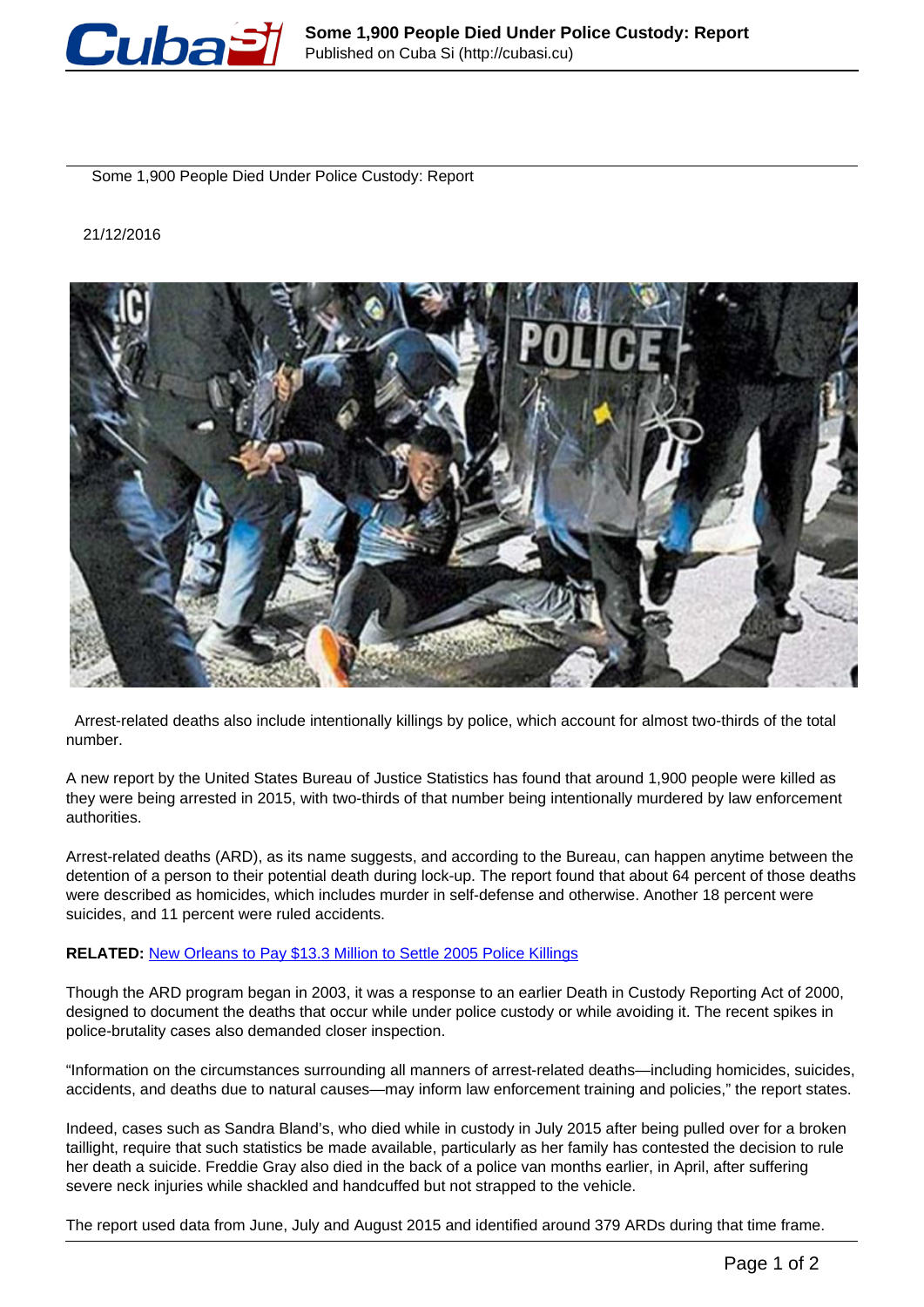

Some 1,900 People Died Under Police Custody: Report

## 21/12/2016



 Arrest-related deaths also include intentionally killings by police, which account for almost two-thirds of the total number.

A new report by the United States Bureau of Justice Statistics has found that around 1,900 people were killed as they were being arrested in 2015, with two-thirds of that number being intentionally murdered by law enforcement authorities.

Arrest-related deaths (ARD), as its name suggests, and according to the Bureau, can happen anytime between the detention of a person to their potential death during lock-up. The report found that about 64 percent of those deaths were described as homicides, which includes murder in self-defense and otherwise. Another 18 percent were suicides, and 11 percent were ruled accidents.

## **RELATED:** [New Orleans to Pay \\$13.3 Million to Settle 2005 Police Killings](http://www.telesurtv.net/english/news/New-Orleans-to-Pay-13.3-Million-to-Settle-2005-Police-Killings-20161220-0018.html)

Though the ARD program began in 2003, it was a response to an earlier Death in Custody Reporting Act of 2000, designed to document the deaths that occur while under police custody or while avoiding it. The recent spikes in police-brutality cases also demanded closer inspection.

"Information on the circumstances surrounding all manners of arrest-related deaths—including homicides, suicides, accidents, and deaths due to natural causes—may inform law enforcement training and policies," the report states.

Indeed, cases such as Sandra Bland's, who died while in custody in July 2015 after being pulled over for a broken taillight, require that such statistics be made available, particularly as her family has contested the decision to rule her death a suicide. Freddie Gray also died in the back of a police van months earlier, in April, after suffering severe neck injuries while shackled and handcuffed but not strapped to the vehicle.

The report used data from June, July and August 2015 and identified around 379 ARDs during that time frame.